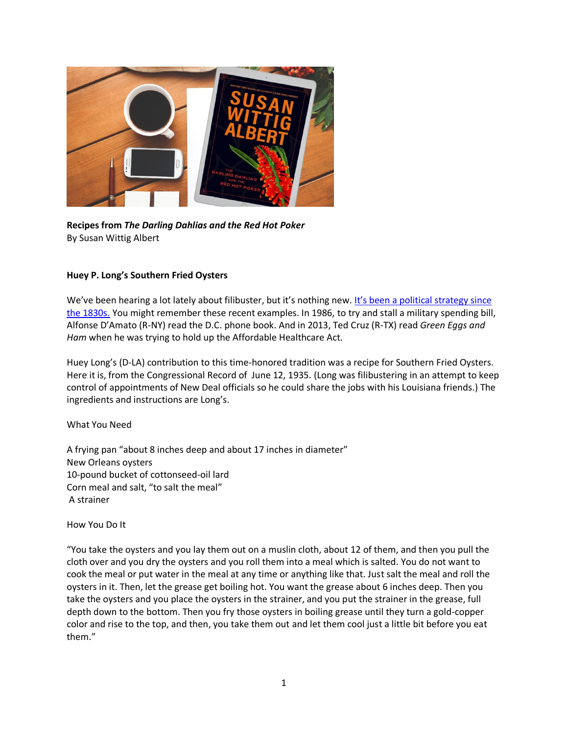

**Recipes from** *The Darling Dahlias and the Red Hot Poker* By Susan Wittig Albert

# **Huey P. Long's Southern Fried Oysters**

We've been hearing a lot lately about filibuster, but it's nothing new. It's been a political strategy since [the 1830s.](https://www.brookings.edu/testimonies/the-history-of-the-filibuster/) You might remember these recent examples. In 1986, to try and stall a military spending bill, Alfonse D'Amato (R-NY) read the D.C. phone book. And in 2013, Ted Cruz (R-TX) read *Green Eggs and Ham* when he was trying to hold up the Affordable Healthcare Act.

Huey Long's (D-LA) contribution to this time-honored tradition was a recipe for Southern Fried Oysters. Here it is, from the Congressional Record of June 12, 1935. (Long was filibustering in an attempt to keep control of appointments of New Deal officials so he could share the jobs with his Louisiana friends.) The ingredients and instructions are Long's.

## What You Need

A frying pan "about 8 inches deep and about 17 inches in diameter" New Orleans oysters 10-pound bucket of cottonseed-oil lard Corn meal and salt, "to salt the meal" A strainer

How You Do It

"You take the oysters and you lay them out on a muslin cloth, about 12 of them, and then you pull the cloth over and you dry the oysters and you roll them into a meal which is salted. You do not want to cook the meal or put water in the meal at any time or anything like that. Just salt the meal and roll the oysters in it. Then, let the grease get boiling hot. You want the grease about 6 inches deep. Then you take the oysters and you place the oysters in the strainer, and you put the strainer in the grease, full depth down to the bottom. Then you fry those oysters in boiling grease until they turn a gold-copper color and rise to the top, and then, you take them out and let them cool just a little bit before you eat them."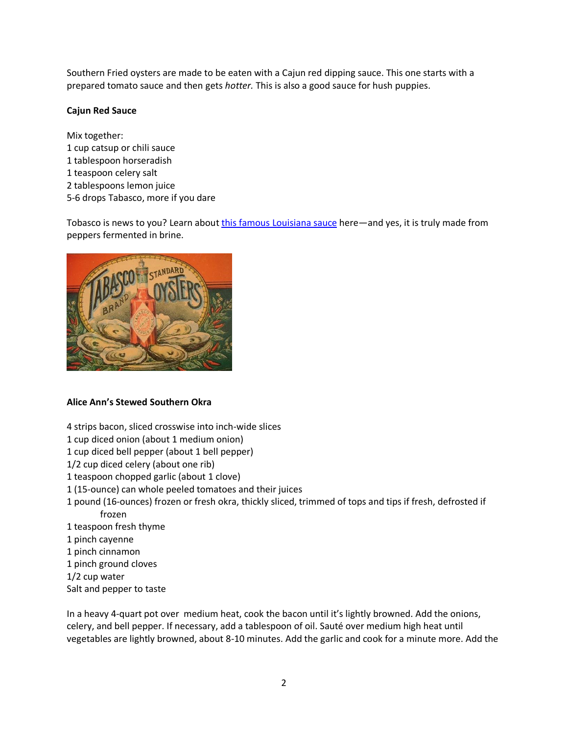Southern Fried oysters are made to be eaten with a Cajun red dipping sauce. This one starts with a prepared tomato sauce and then gets *hotter.* This is also a good sauce for hush puppies.

### **Cajun Red Sauce**

Mix together: 1 cup catsup or chili sauce 1 tablespoon horseradish 1 teaspoon celery salt 2 tablespoons lemon juice 5-6 drops Tabasco, more if you dare

Tobasco is news to you? Learn about [this famous Louisiana sauce](https://recipereminiscing.wordpress.com/2016/04/18/fun-facts-to-know-about-tabasco-hot-sauce/) here—and yes, it is truly made from peppers fermented in brine.



## **Alice Ann's Stewed Southern Okra**

- 4 strips bacon, sliced crosswise into inch-wide slices
- 1 cup diced onion (about 1 medium onion)
- 1 cup diced bell pepper (about 1 bell pepper)
- 1/2 cup diced celery (about one rib)
- 1 teaspoon chopped garlic (about 1 clove)
- 1 (15-ounce) can whole peeled tomatoes and their juices
- 1 pound (16-ounces) frozen or fresh okra, thickly sliced, trimmed of tops and tips if fresh, defrosted if frozen
- 1 teaspoon fresh thyme
- 1 pinch cayenne
- 1 pinch cinnamon
- 1 pinch ground cloves
- 1/2 cup water
- Salt and pepper to taste

In a heavy 4-quart pot over medium heat, cook the bacon until it's lightly browned. Add the onions, celery, and bell pepper. If necessary, add a tablespoon of oil. Sauté over medium high heat until vegetables are lightly browned, about 8-10 minutes. Add the garlic and cook for a minute more. Add the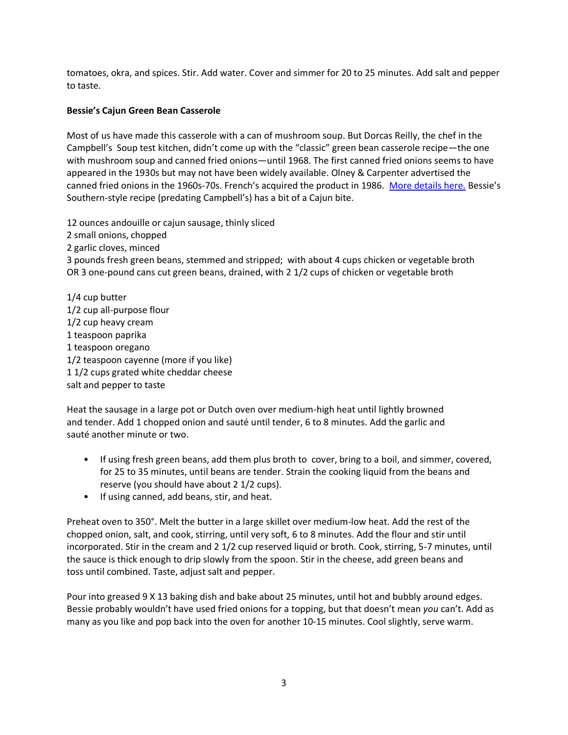tomatoes, okra, and spices. Stir. Add water. Cover and simmer for 20 to 25 minutes. Add salt and pepper to taste.

# **Bessie's Cajun Green Bean Casserole**

Most of us have made this casserole with a can of mushroom soup. But Dorcas Reilly, the chef in the Campbell's Soup test kitchen, didn't come up with the "classic" green bean casserole recipe—the one with mushroom soup and canned fried onions—until 1968. The first canned fried onions seems to have appeared in the 1930s but may not have been widely available. Olney & Carpenter advertised the canned fried onions in the 1960s-70s. French's acquired the product in 1986. [More details here.](https://www.allrecipes.com/article/history-of-french-fried-onions) Bessie's Southern-style recipe (predating Campbell's) has a bit of a Cajun bite.

12 ounces andouille or cajun sausage, thinly sliced 2 small onions, chopped 2 garlic cloves, minced 3 pounds fresh green beans, stemmed and stripped; with about 4 cups chicken or vegetable broth OR 3 one-pound cans cut green beans, drained, with 2 1/2 cups of chicken or vegetable broth

1/4 cup butter 1/2 cup all-purpose flour 1/2 cup heavy cream 1 teaspoon paprika 1 teaspoon oregano 1/2 teaspoon cayenne (more if you like) 1 1/2 cups grated white cheddar cheese salt and pepper to taste

Heat the sausage in a large pot or Dutch oven over medium-high heat until lightly browned and tender. Add 1 chopped onion and sauté until tender, 6 to 8 minutes. Add the garlic and sauté another minute or two.

- If using fresh green beans, add them plus broth to cover, bring to a boil, and simmer, covered, for 25 to 35 minutes, until beans are tender. Strain the cooking liquid from the beans and reserve (you should have about 2 1/2 cups).
- If using canned, add beans, stir, and heat.

Preheat oven to 350°. Melt the butter in a large skillet over medium-low heat. Add the rest of the chopped onion, salt, and cook, stirring, until very soft, 6 to 8 minutes. Add the flour and stir until incorporated. Stir in the cream and 2 1/2 cup reserved liquid or broth. Cook, stirring, 5-7 minutes, until the sauce is thick enough to drip slowly from the spoon. Stir in the cheese, add green beans and toss until combined. Taste, adjust salt and pepper.

Pour into greased 9 X 13 baking dish and bake about 25 minutes, until hot and bubbly around edges. Bessie probably wouldn't have used fried onions for a topping, but that doesn't mean *you* can't. Add as many as you like and pop back into the oven for another 10-15 minutes. Cool slightly, serve warm.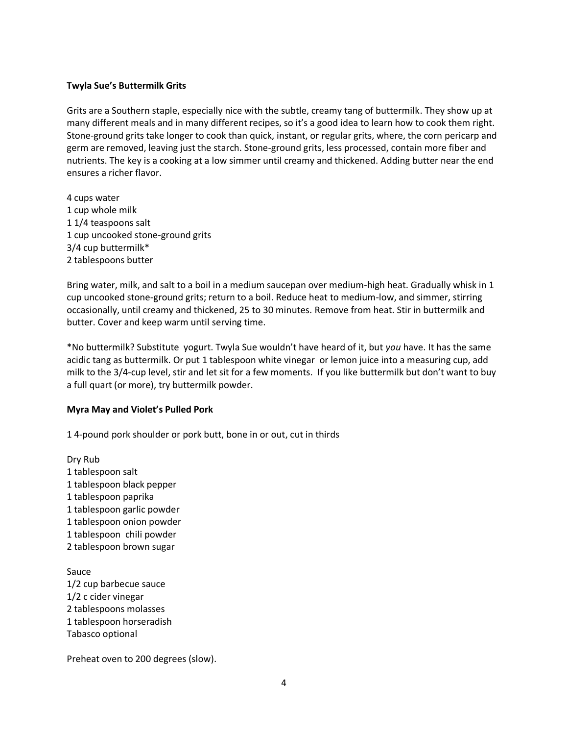### **Twyla Sue's Buttermilk Grits**

Grits are a Southern staple, especially nice with the subtle, creamy tang of buttermilk. They show up at many different meals and in many different recipes, so it's a good idea to learn how to cook them right. Stone-ground grits take longer to cook than quick, instant, or regular grits, where, the corn pericarp and germ are removed, leaving just the starch. Stone-ground grits, less processed, contain more fiber and nutrients. The key is a cooking at a low simmer until creamy and thickened. Adding butter near the end ensures a richer flavor.

4 cups water 1 cup whole milk 1 1/4 teaspoons salt 1 cup uncooked stone-ground grits 3/4 cup buttermilk\* 2 tablespoons butter

Bring water, milk, and salt to a boil in a medium saucepan over medium-high heat. Gradually whisk in 1 cup uncooked stone-ground grits; return to a boil. Reduce heat to medium-low, and simmer, stirring occasionally, until creamy and thickened, 25 to 30 minutes. Remove from heat. Stir in buttermilk and butter. Cover and keep warm until serving time.

\*No buttermilk? Substitute yogurt. Twyla Sue wouldn't have heard of it, but *you* have. It has the same acidic tang as buttermilk. Or put 1 tablespoon white vinegar or lemon juice into a measuring cup, add milk to the 3/4-cup level, stir and let sit for a few moments. If you like buttermilk but don't want to buy a full quart (or more), try buttermilk powder.

#### **Myra May and Violet's Pulled Pork**

1 4-pound pork shoulder or pork butt, bone in or out, cut in thirds

Dry Rub 1 tablespoon salt 1 tablespoon black pepper 1 tablespoon paprika 1 tablespoon garlic powder 1 tablespoon onion powder 1 tablespoon chili powder 2 tablespoon brown sugar Sauce 1/2 cup barbecue sauce

1/2 c cider vinegar 2 tablespoons molasses 1 tablespoon horseradish Tabasco optional

Preheat oven to 200 degrees (slow).